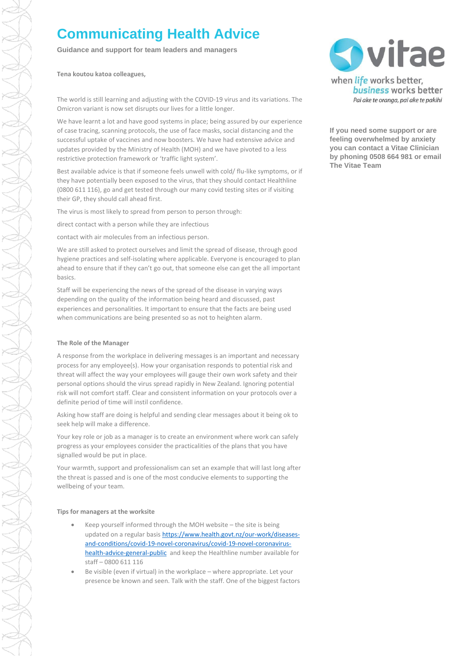# **Communicating Health Advice**

**Guidance and support for team leaders and managers**

**Tena koutou katoa colleagues,**

The world is still learning and adjusting with the COVID-19 virus and its variations. The Omicron variant is now set disrupts our lives for a little longer.

We have learnt a lot and have good systems in place; being assured by our experience of case tracing, scanning protocols, the use of face masks, social distancing and the successful uptake of vaccines and now boosters. We have had extensive advice and updates provided by the Ministry of Health (MOH) and we have pivoted to a less restrictive protection framework or 'traffic light system'.

Best available advice is that if someone feels unwell with cold/ flu-like symptoms, or if they have potentially been exposed to the virus, that they should contact Healthline (0800 611 116), go and get tested through our many covid testing sites or if visiting their GP, they should call ahead first.

The virus is most likely to spread from person to person through:

direct contact with a person while they are infectious

contact with air molecules from an infectious person.

We are still asked to protect ourselves and limit the spread of disease, through good hygiene practices and self-isolating where applicable. Everyone is encouraged to plan ahead to ensure that if they can't go out, that someone else can get the all important basics.

Staff will be experiencing the news of the spread of the disease in varying ways depending on the quality of the information being heard and discussed, past experiences and personalities. It important to ensure that the facts are being used when communications are being presented so as not to heighten alarm.

# **The Role of the Manager**

A response from the workplace in delivering messages is an important and necessary process for any employee(s). How your organisation responds to potential risk and threat will affect the way your employees will gauge their own work safety and their personal options should the virus spread rapidly in New Zealand. Ignoring potential risk will not comfort staff. Clear and consistent information on your protocols over a definite period of time will instil confidence.

Asking how staff are doing is helpful and sending clear messages about it being ok to seek help will make a difference.

Your key role or job as a manager is to create an environment where work can safely progress as your employees consider the practicalities of the plans that you have signalled would be put in place.

Your warmth, support and professionalism can set an example that will last long after the threat is passed and is one of the most conducive elements to supporting the wellbeing of your team.

# **Tips for managers at the worksite**

- Keep yourself informed through the MOH website the site is being updated on a regular basis [https://www.health.govt.nz/our-work/diseases](https://www.health.govt.nz/our-work/diseases-and-conditions/covid-19-novel-coronavirus/covid-19-novel-coronavirus-health-advice-general-public)[and-conditions/covid-19-novel-coronavirus/covid-19-novel-coronavirus](https://www.health.govt.nz/our-work/diseases-and-conditions/covid-19-novel-coronavirus/covid-19-novel-coronavirus-health-advice-general-public)[health-advice-general-public](https://www.health.govt.nz/our-work/diseases-and-conditions/covid-19-novel-coronavirus/covid-19-novel-coronavirus-health-advice-general-public) and keep the Healthline number available for staff – 0800 611 116
- Be visible (even if virtual) in the workplace where appropriate. Let your presence be known and seen. Talk with the staff. One of the biggest factors



**If you need some support or are feeling overwhelmed by anxiety you can contact a Vitae Clinician by phoning 0508 664 981 or email The Vitae Team**